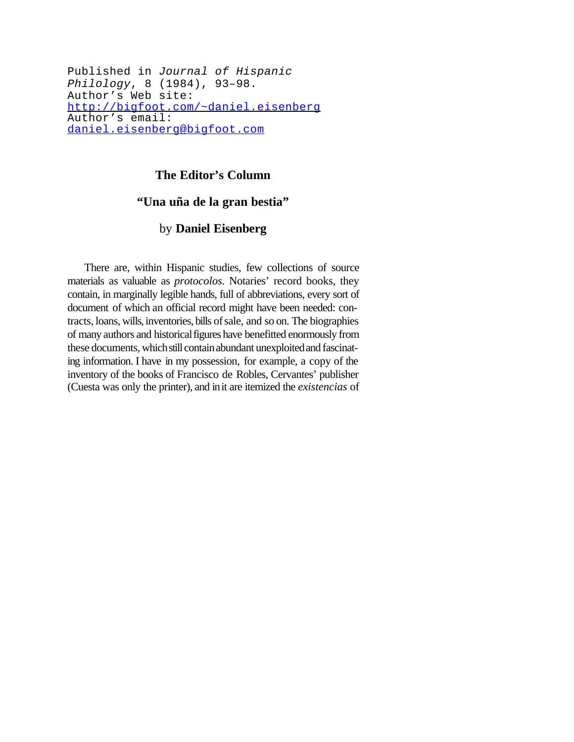Published in *Journal of Hispanic Philology*, 8 (1984), 93–98. Author's Web site: http://bigfoot.com/~daniel.eisenberg Author's email: daniel.eisenberg@bigfoot.com

## **The Editor's Column**

## **"Una uña de la gran bestia"**

## by **Daniel Eisenberg**

There are, within Hispanic studies, few collections of source materials as valuable as *protocolos.* Notaries' record books, they contain, in marginally legible hands, full of abbreviations, every sort of document of which an official record might have been needed: contracts, loans, wills,inventories, bills ofsale, and so on. The biographies of many authors and historical figures have benefitted enormously from these documents, which still contain abundant unexploited and fascinating information. I have in my possession, for example, a copy of the inventory of the books of Francisco de Robles, Cervantes' publisher (Cuesta was only the printer), and init are itemized the *existencias* of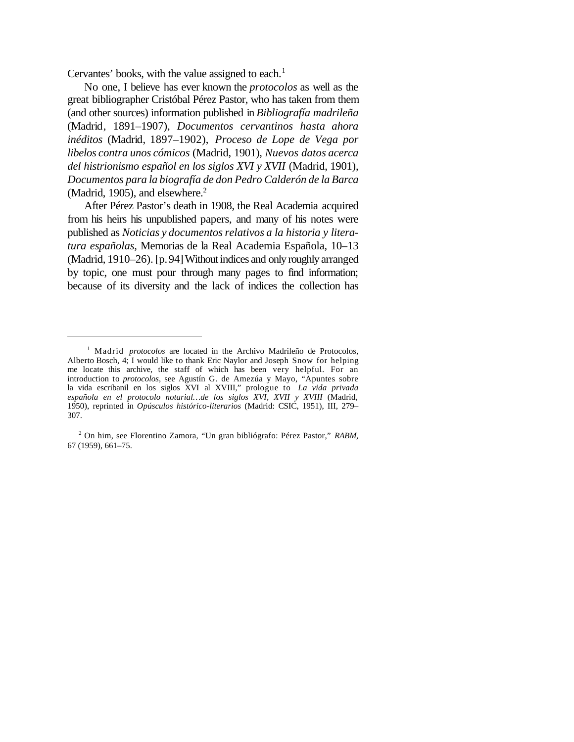Cervantes' books, with the value assigned to each.<sup>1</sup>

No one, I believe has ever known the *protocolos* as well as the great bibliographer Cristóbal Pérez Pastor, who has taken from them (and other sources) information published in *Bibliografía madrileña* (Madrid, 1891–1907), *Documentos cervantinos hasta ahora inéditos* (Madrid, 1897–1902), *Proceso de Lope de Vega por libelos contra unos cómicos* (Madrid, 1901), *Nuevos datos acerca del histrionismo español en los siglos XVI y XVII* (Madrid, 1901), *Documentos para la biografía de don Pedro Calderón de la Barca* (Madrid, 1905), and elsewhere.<sup>2</sup>

After Pérez Pastor's death in 1908, the Real Academia acquired from his heirs his unpublished papers, and many of his notes were published as *Noticias y documentos relativos a la historia y literatura españolas,* Memorias de la Real Academia Española, 10–13 (Madrid, 1910–26). [p.94]Withoutindices and only roughly arranged by topic, one must pour through many pages to find information; because of its diversity and the lack of indices the collection has

<sup>&</sup>lt;sup>1</sup> Madrid *protocolos* are located in the Archivo Madrileño de Protocolos, Alberto Bosch, 4; I would like to thank Eric Naylor and Joseph Snow for helping me locate this archive, the staff of which has been very helpful. For an introduction to *protocolos*, see Agustín G. de Amezúa y Mayo, "Apuntes sobre la vida escribanil en los siglos XVI al XVIII," prologue to *La vida privada española en el protocolo notarial…de los siglos XVI, XVII y XVIII* (Madrid, 1950), reprinted in *Opúsculos histórico-literarios* (Madrid: CSIC, 1951), III, 279– 307.

<sup>2</sup> On him, see Florentino Zamora, "Un gran bibliógrafo: Pérez Pastor," *RABM*, 67 (1959), 661–75.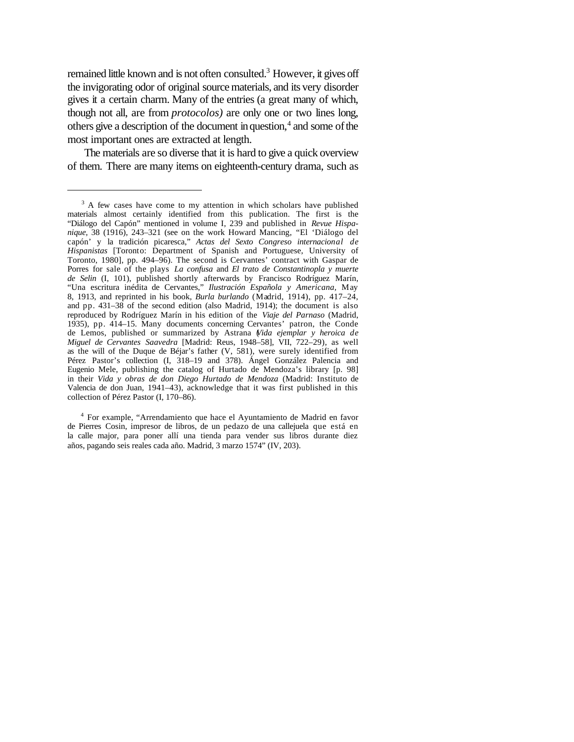remained little known and is not often consulted.<sup>3</sup> However, it gives off the invigorating odor of original sourcematerials, and its very disorder gives it a certain charm. Many of the entries (a great many of which, though not all, are from *protocolos)* are only one or two lines long, others give a description of the document in question,<sup>4</sup> and some of the most important ones are extracted at length.

The materials are so diverse that it is hard to give a quick overview of them. There are many items on eighteenth-century drama, such as

4 For example, "Arrendamiento que hace el Ayuntamiento de Madrid en favor de Pierres Cosin, impresor de libros, de un pedazo de una callejuela que está en la calle major, para poner allí una tienda para vender sus libros durante diez años, pagando seis reales cada año. Madrid, 3 marzo 1574" (IV, 203).

<sup>&</sup>lt;sup>3</sup> A few cases have come to my attention in which scholars have published materials almost certainly identified from this publication. The first is the "Diálogo del Capón" mentioned in volume I, 239 and published in *Revue Hispanique,* 38 (1916), 243–321 (see on the work Howard Mancing, "El 'Diálogo del capón' y la tradición picaresca," *Actas del Sexto Congreso internacional de Hispanistas* [Toronto: Department of Spanish and Portuguese, University of Toronto, 1980], pp. 494–96). The second is Cervantes' contract with Gaspar de Porres for sale of the plays *La confusa* and *El trato de Constantinopla y muerte de Selin* (I, 101), published shortly afterwards by Francisco Rodríguez Marín, "Una escritura inédita de Cervantes," *Ilustración Española y Americana,* May 8, 1913, and reprinted in his book, *Burla burlando* (Madrid, 1914), pp. 417–24, and pp. 431–38 of the second edition (also Madrid, 1914); the document is also reproduced by Rodríguez Marín in his edition of the *Viaje del Parnaso* (Madrid, 1935), pp. 414–15. Many documents concerning Cervantes' patron, the Conde de Lemos, published or summarized by Astrana (*Vida ejemplar y heroica de Miguel de Cervantes Saavedra* [Madrid: Reus, 1948–58], VII, 722–29), as well as the will of the Duque de Béjar's father (V, 581), were surely identified from Pérez Pastor's collection (I, 318–19 and 378). Ángel González Palencia and Eugenio Mele, publishing the catalog of Hurtado de Mendoza's library [p. 98] in their *Vida y obras de don Diego Hurtado de Mendoza* (Madrid: Instituto de Valencia de don Juan, 1941–43), acknowledge that it was first published in this collection of Pérez Pastor (I, 170–86).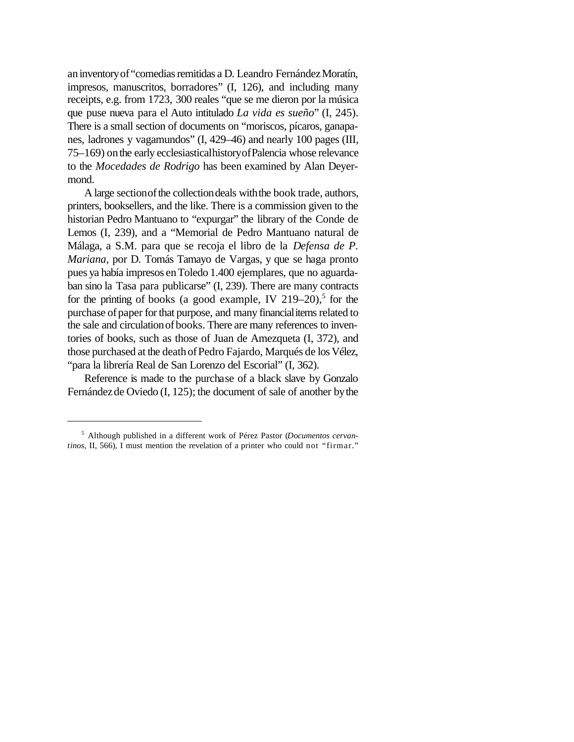an inventory of "comedias remitidas a D. Leandro Fernández Moratín, impresos, manuscritos, borradores" (I, 126), and including many receipts, e.g. from 1723, 300 reales "que se me dieron por la música que puse nueva para el Auto intitulado *La vida es sueño*" (I, 245). There is a small section of documents on "moriscos, pícaros, ganapanes, ladrones y vagamundos" (I, 429–46) and nearly 100 pages (III, 75–169) onthe early ecclesiasticalhistoryofPalencia whose relevance to the *Mocedades de Rodrigo* has been examined by Alan Deyermond.

A large section of the collection deals with the book trade, authors, printers, booksellers, and the like. There is a commission given to the historian Pedro Mantuano to "expurgar" the library of the Conde de Lemos (I, 239), and a "Memorial de Pedro Mantuano natural de Málaga, a S.M. para que se recoja el libro de la *Defensa de P. Mariana,* por D. Tomás Tamayo de Vargas, y que se haga pronto pues ya había impresos enToledo 1.400 ejemplares, que no aguardaban sino la Tasa para publicarse" (I, 239). There are many contracts for the printing of books (a good example, IV  $219-20$ ),<sup>5</sup> for the purchase of paper for that purpose, and many financial items related to the sale and circulationofbooks. There are many references to inventories of books, such as those of Juan de Amezqueta (I, 372), and those purchased at the death of Pedro Fajardo, Marqués de los Vélez, "para la librería Real de San Lorenzo del Escorial" (I, 362).

Reference is made to the purchase of a black slave by Gonzalo Fernández de Oviedo (I, 125); the document of sale of another by the

<sup>5</sup> Although published in a different work of Pérez Pastor (*Documentos cervantinos,* II, 566), I must mention the revelation of a printer who could not "firmar."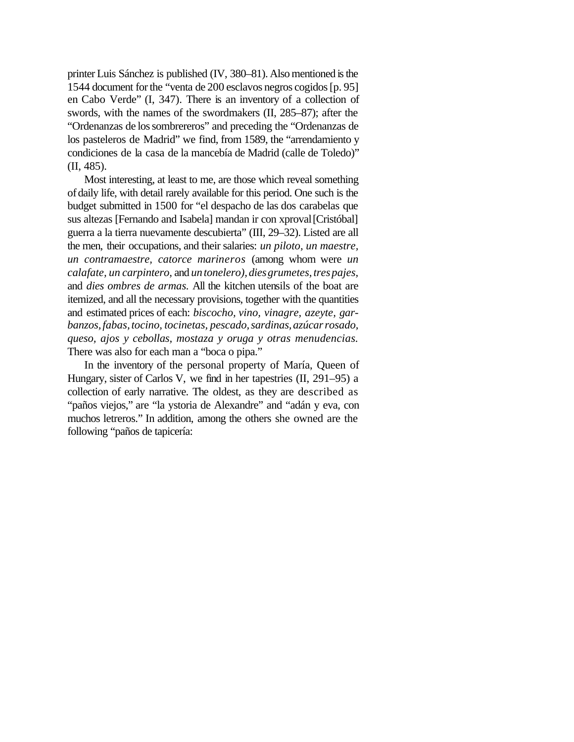printer Luis Sánchez is published (IV, 380–81). Also mentioned is the 1544 document forthe "venta de 200 esclavos negros cogidos[p. 95] en Cabo Verde" (I, 347). There is an inventory of a collection of swords, with the names of the swordmakers (II, 285–87); after the "Ordenanzas de lossombrereros" and preceding the "Ordenanzas de los pasteleros de Madrid" we find, from 1589, the "arrendamiento y condiciones de la casa de la mancebía de Madrid (calle de Toledo)" (II, 485).

Most interesting, at least to me, are those which reveal something ofdaily life, with detail rarely available for this period. One such is the budget submitted in 1500 for "el despacho de las dos carabelas que sus altezas [Fernando and Isabela] mandan ir con xproval [Cristóbal] guerra a la tierra nuevamente descubierta" (III, 29–32). Listed are all the men, their occupations, and their salaries: *un piloto, un maestre, un contramaestre, catorce marineros* (among whom were *un calafate, un carpintero,* and *untonelero),diesgrumetes,trespajes,* and *dies ombres de armas.* All the kitchen utensils of the boat are itemized, and all the necessary provisions, together with the quantities and estimated prices of each: *biscocho, vino, vinagre, azeyte, garbanzos,fabas,tocino, tocinetas, pescado,sardinas,azúcarrosado, queso, ajos y cebollas, mostaza y oruga y otras menudencias.* There was also for each man a "boca o pipa."

In the inventory of the personal property of María, Queen of Hungary, sister of Carlos V, we find in her tapestries (II, 291–95) a collection of early narrative. The oldest, as they are described as "paños viejos," are "la ystoria de Alexandre" and "adán y eva, con muchos letreros." In addition, among the others she owned are the following "paños de tapicería: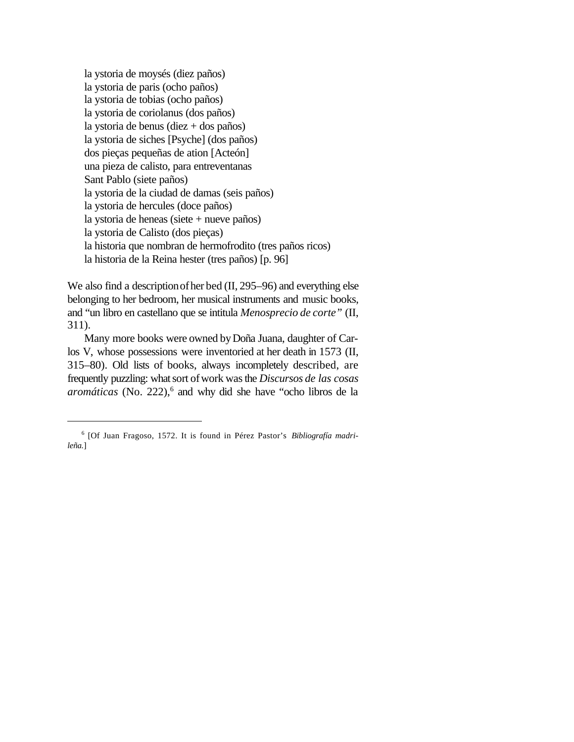la ystoria de moysés (diez paños) la ystoria de paris (ocho paños) la ystoria de tobias (ocho paños) la ystoria de coriolanus (dos paños) la ystoria de benus (diez + dos paños) la ystoria de siches [Psyche] (dos paños) dos pieças pequeñas de ation [Acteón] una pieza de calisto, para entreventanas Sant Pablo (siete paños) la ystoria de la ciudad de damas (seis paños) la ystoria de hercules (doce paños) la ystoria de heneas (siete + nueve paños) la ystoria de Calisto (dos pieças) la historia que nombran de hermofrodito (tres paños ricos) la historia de la Reina hester (tres paños) [p. 96]

We also find a description of her bed (II, 295–96) and everything else belonging to her bedroom, her musical instruments and music books, and "un libro en castellano que se intitula *Menosprecio de corte"* (II, 311).

Many more books were owned byDoña Juana, daughter of Carlos V, whose possessions were inventoried at her death in 1573 (II, 315–80). Old lists of books, always incompletely described, are frequently puzzling: whatsort ofwork wasthe *Discursos de las cosas* aromáticas (No. 222),<sup>6</sup> and why did she have "ocho libros de la

<sup>6</sup> [Of Juan Fragoso, 1572. It is found in Pérez Pastor's *Bibliografía madrileña.*]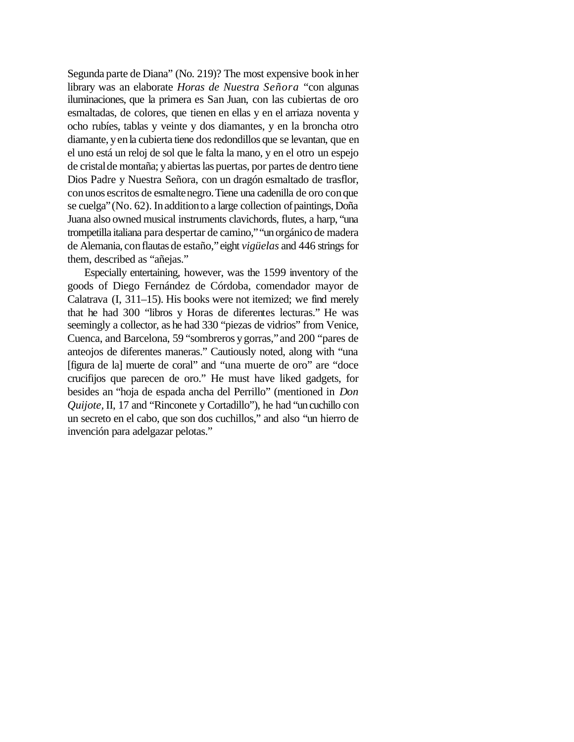Segunda parte de Diana" (No. 219)? The most expensive book inher library was an elaborate *Horas de Nuestra Señora* "con algunas iluminaciones, que la primera es San Juan, con las cubiertas de oro esmaltadas, de colores, que tienen en ellas y en el arriaza noventa y ocho rubíes, tablas y veinte y dos diamantes, y en la broncha otro diamante, yenla cubierta tiene dosredondillos que se levantan, que en el uno está un reloj de sol que le falta la mano, y en el otro un espejo de cristalde montaña; yabiertaslas puertas, por partes de dentro tiene Dios Padre y Nuestra Señora, con un dragón esmaltado de trasflor, conunos escritos de esmaltenegro.Tiene una cadenilla de oro conque se cuelga" (No. 62). In addition to a large collection of paintings, Doña Juana also owned musical instruments clavichords, flutes, a harp, "una trompetilla italiana para despertar de camino," "un orgánico de madera de Alemania, conflautas de estaño,"eight *vigüelas* and 446 strings for them, described as "añejas."

Especially entertaining, however, was the 1599 inventory of the goods of Diego Fernández de Córdoba, comendador mayor de Calatrava (I, 311–15). His books were not itemized; we find merely that he had 300 "libros y Horas de diferentes lecturas." He was seemingly a collector, as he had 330 "piezas de vidrios" from Venice, Cuenca, and Barcelona, 59 "sombreros ygorras,"and 200 "pares de anteojos de diferentes maneras." Cautiously noted, along with "una [figura de la] muerte de coral" and "una muerte de oro" are "doce crucifijos que parecen de oro." He must have liked gadgets, for besides an "hoja de espada ancha del Perrillo" (mentioned in *Don Quijote,* II, 17 and "Rinconete y Cortadillo"), he had "uncuchillo con un secreto en el cabo, que son dos cuchillos," and also "un hierro de invención para adelgazar pelotas."